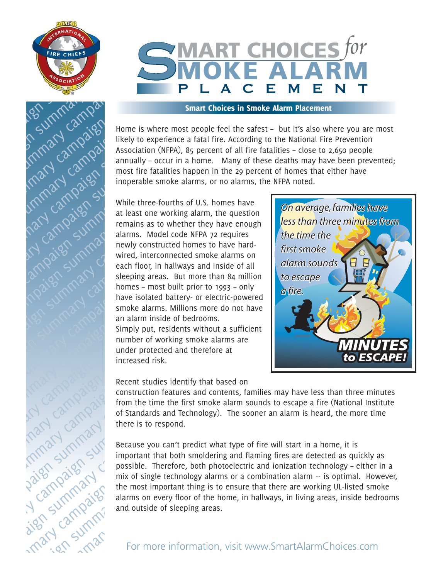



#### Smart Choices in Smoke Alarm Placement

Home is where most people feel the safest – but it's also where you are most likely to experience a fatal fire. According to the National Fire Prevention Association (NFPA), 85 percent of all fire fatalities – close to 2,650 people annually – occur in a home. Many of these deaths may have been prevented; most fire fatalities happen in the 29 percent of homes that either have inoperable smoke alarms, or no alarms, the NFPA noted.

While three-fourths of U.S. homes have at least one working alarm, the question remains as to whether they have enough alarms. Model code NFPA 72 requires newly constructed homes to have hardwired, interconnected smoke alarms on each floor, in hallways and inside of all sleeping areas. But more than 84 million homes – most built prior to 1993 – only have isolated battery- or electric-powered smoke alarms. Millions more do not have an alarm inside of bedrooms. Simply put, residents without a sufficient number of working smoke alarms are under protected and therefore at increased risk.



Recent studies identify that based on

construction features and contents, families may have less than three minutes from the time the first smoke alarm sounds to escape a fire (National Institute of Standards and Technology). The sooner an alarm is heard, the more time there is to respond.

Because you can't predict what type of fire will start in a home, it is important that both smoldering and flaming fires are detected as quickly as possible. Therefore, both photoelectric and ionization technology – either in a mix of single technology alarms or a combination alarm -- is optimal. However, the most important thing is to ensure that there are working UL-listed smoke alarms on every floor of the home, in hallways, in living areas, inside bedrooms and outside of sleeping areas.

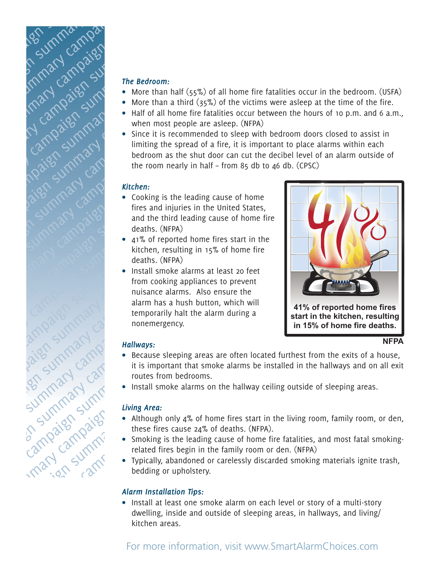

#### *The Bedroom:*

- More than half (55%) of all home fire fatalities occur in the bedroom. (USFA)
- More than a third (35%) of the victims were asleep at the time of the fire.
- $\bullet$  Half of all home fire fatalities occur between the hours of 10 p.m. and 6 a.m., when most people are asleep. (NFPA)
- Since it is recommended to sleep with bedroom doors closed to assist in limiting the spread of a fire, it is important to place alarms within each bedroom as the shut door can cut the decibel level of an alarm outside of the room nearly in half – from 85 db to 46 db. (CPSC)

#### *Kitchen:*

- $\bullet$  Cooking is the leading cause of home fires and injuries in the United States, and the third leading cause of home fire deaths. (NFPA)
- 41% of reported home fires start in the kitchen, resulting in 15% of home fire deaths. (NFPA)
- Install smoke alarms at least 20 feet from cooking appliances to prevent nuisance alarms. Also ensure the alarm has a hush button, which will temporarily halt the alarm during a nonemergency.



## *Hallways:*

- Because sleeping areas are often located furthest from the exits of a house, it is important that smoke alarms be installed in the hallways and on all exit routes from bedrooms.
- Install smoke alarms on the hallway ceiling outside of sleeping areas.

## *Living Area:*

- Although only 4% of home fires start in the living room, family room, or den, these fires cause 24% of deaths. (NFPA).
- Smoking is the leading cause of home fire fatalities, and most fatal smokingrelated fires begin in the family room or den. (NFPA)
- Typically, abandoned or carelessly discarded smoking materials ignite trash, bedding or upholstery.

# *Alarm Installation Tips:*

• Install at least one smoke alarm on each level or story of a multi-story dwelling, inside and outside of sleeping areas, in hallways, and living/ kitchen areas.